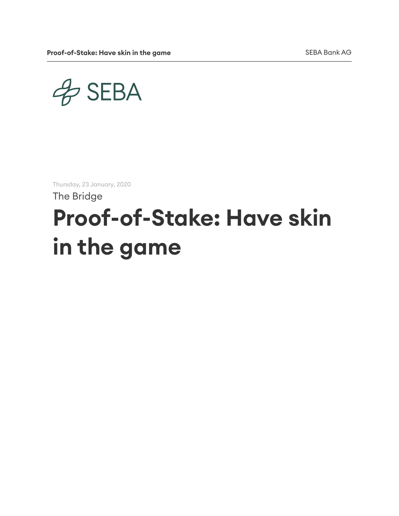$4$ SEBA

Thursday, 23 January, 2020

The Bridge

# Proof-of-Stake: Have skin in the game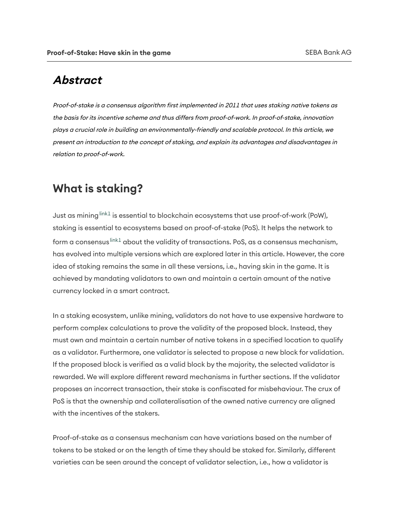#### Abstract

Proof-of-stake is a consensus algorithm first implemented in 2011 that uses staking native tokens as the basis for its incentive scheme and thus differs from proof-of-work. In proof-of-stake, innovation plays <sup>a</sup> crucial role in building an environmentally-friendly and scalable protocol. In this article, we present an introduction to the concept of staking, and explain its advantages and disadvantages in relation to proof-of-work.

#### What is staking?

Just as [mining](https://test.seba.swiss/research/Proof-of-Stake-have-skin-in-the-game/#link1)  $^{\sf link1}$  is essential to blockchain ecosystems that use proof-of-work (PoW), staking is essential to ecosystems based on proof-of-stake (PoS). It helps the network to form a [consensus](https://test.seba.swiss/research/Proof-of-Stake-have-skin-in-the-game/#link1) <sup>link1</sup> about the validity of transactions. PoS, as a consensus mechanism, has evolved into multiple versions which are explored later in this article. However, the core idea of staking remains the same in all these versions, i.e., having skin in the game. It is achieved by mandating validators to own and maintain a certain amount of the native currency locked in a smart contract.

In a staking ecosystem, unlike mining, validators do not have to use expensive hardware to perform complex calculations to prove the validity of the proposed block. Instead, they must own and maintain a certain number of native tokens in a specified location to qualify as a validator. Furthermore, one validator is selected to propose a new block for validation. If the proposed block is verified as a valid block by the majority, the selected validator is rewarded. We will explore different reward mechanisms in further sections. If the validator proposes an incorrect transaction, their stake is confiscated for misbehaviour. The crux of PoS is that the ownership and collateralisation of the owned native currency are aligned with the incentives of the stakers.

Proof-of-stake as a consensus mechanism can have variations based on the number of tokens to be staked or on the length of time they should be staked for. Similarly, different varieties can be seen around the concept of validator selection, i.e., how a validator is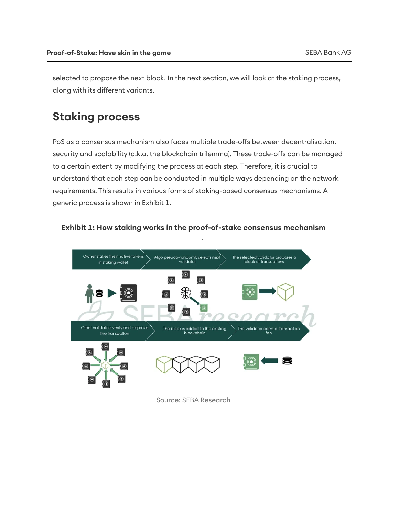selected to propose the next block. In the next section, we will look at the staking process, along with its different variants.

## Staking process

PoS as a consensus mechanism also faces multiple trade-offs between decentralisation, security and scalability (a.k.a. the blockchain trilemma). These trade-offs can be managed to a certain extent by modifying the process at each step. Therefore, it is crucial to understand that each step can be conducted in multiple ways depending on the network requirements. This results in various forms of staking-based consensus mechanisms. A generic process is shown in Exhibit 1.



Exhibit 1: How staking works in the proof-of-stake consensus mechanism

Source: SEBA Research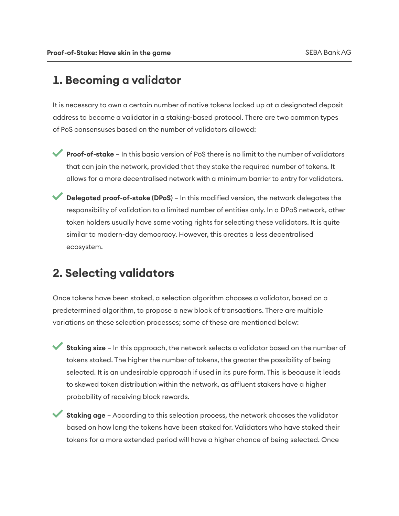## 1. Becoming a validator

It is necessary to own a certain number of native tokens locked up at a designated deposit address to become a validator in a staking-based protocol. There are two common types of PoS consensuses based on the number of validators allowed:

- Proof-of-stake In this basic version of PoS there is no limit to the number of validators that can join the network, provided that they stake the required number of tokens. It allows for a more decentralised network with a minimum barrier to entry for validators.
- **Delegated proof-of-stake (DPoS)** In this modified version, the network delegates the responsibility of validation to a limited number of entities only. In a DPoS network, other token holders usually have some voting rights for selecting these validators. It is quite similar to modern-day democracy. However, this creates a less decentralised ecosystem.

#### 2. Selecting validators

Once tokens have been staked, a selection algorithm chooses a validator, based on a predetermined algorithm, to propose a new block of transactions. There are multiple variations on these selection processes; some of these are mentioned below:

Staking size – In this approach, the network selects a validator based on the number of tokens staked. The higher the number of tokens, the greater the possibility of being selected. It is an undesirable approach if used in its pure form. This is because it leads to skewed token distribution within the network, as affluent stakers have a higher probability of receiving block rewards.

**Staking age** - According to this selection process, the network chooses the validator based on how long the tokens have been staked for. Validators who have staked their tokens for a more extended period will have a higher chance of being selected. Once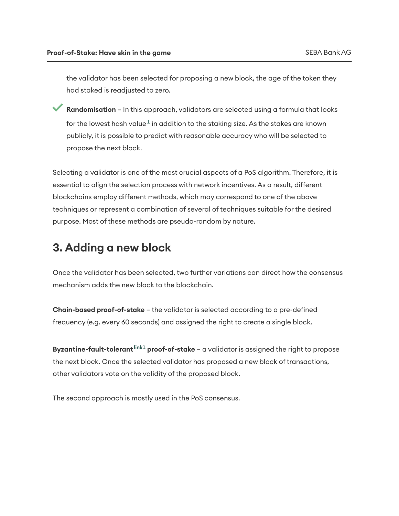the validator has been selected for proposing a new block, the age of the token they had staked is readjusted to zero.

Randomisation – In this approach, validators are selected using a formula that looks for the lowest hash [value](https://test.seba.swiss/research/Proof-of-Stake-have-skin-in-the-game/#1) $^1$  in addition to the staking size. As the stakes are known publicly, it is possible to predict with reasonable accuracy who will be selected to propose the next block.

Selecting a validator is one of the most crucial aspects of a PoS algorithm. Therefore, it is essential to align the selection process with network incentives. As a result, different blockchains employ different methods, which may correspond to one of the above techniques or represent a combination of several of techniques suitable for the desired purpose. Most of these methods are pseudo-random by nature.

#### 3. Adding a new block

Once the validator has been selected, two further variations can direct how the consensus mechanism adds the new block to the blockchain.

Chain-based proof-of-stake - the validator is selected according to a pre-defined frequency (e.g. every 60 seconds) and assigned the right to create a single block.

[Byzantine-fault-tolerant](https://test.seba.swiss/research/Proof-of-Stake-have-skin-in-the-game/#link1) <sup>link1</sup> proof-of-stake – a validator is assigned the right to propose the next block. Once the selected validator has proposed a new block of transactions, other validators vote on the validity of the proposed block.

The second approach is mostly used in the PoS consensus.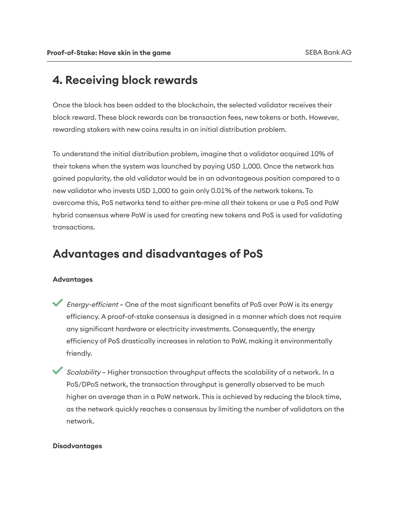## 4. Receiving block rewards

Once the block has been added to the blockchain, the selected validator receives their block reward. These block rewards can be transaction fees, new tokens or both. However, rewarding stakers with new coins results in an initial distribution problem.

To understand the initial distribution problem, imagine that a validator acquired 10% of their tokens when the system was launched by paying USD 1,000. Once the network has gained popularity, the old validator would be in an advantageous position compared to a new validator who invests USD 1,000 to gain only 0.01% of the network tokens. To overcome this, PoS networks tend to either pre-mine all their tokens or use a PoS and PoW hybrid consensus where PoW is used for creating new tokens and PoS is used for validating transactions.

#### Advantages and disadvantages of PoS

#### Advantages

- Energy-efficient One of the most significant benefits of PoS over PoW is its energy efficiency. A proof-of-stake consensus is designed in a manner which does not require any significant hardware or electricity investments. Consequently, the energy efficiency of PoS drastically increases in relation to PoW, making it environmentally friendly.
- Scalability Higher transaction throughput affects the scalability of a network. In a PoS/DPoS network, the transaction throughput is generally observed to be much higher on average than in a PoW network. This is achieved by reducing the block time, as the network quickly reaches a consensus by limiting the number of validators on the network.

#### Disadvantages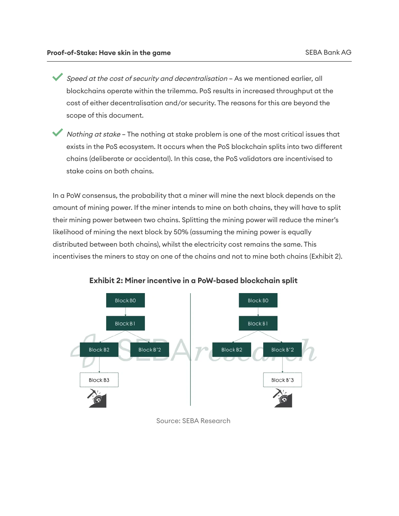Speed at the cost of security and decentralisation – As we mentioned earlier, all blockchains operate within the trilemma. PoS results in increased throughput at the cost of either decentralisation and/or security. The reasons for this are beyond the scope of this document.

Nothing at stake – The nothing at stake problem is one of the most critical issues that exists in the PoS ecosystem. It occurs when the PoS blockchain splits into two different chains (deliberate or accidental). In this case, the PoS validators are incentivised to stake coins on both chains.

In a PoW consensus, the probability that a miner will mine the next block depends on the amount of mining power. If the miner intends to mine on both chains, they will have to split their mining power between two chains. Splitting the mining power will reduce the miner's likelihood of mining the next block by 50% (assuming the mining power is equally distributed between both chains), whilst the electricity cost remains the same. This incentivises the miners to stay on one of the chains and not to mine both chains (Exhibit 2).



Exhibit 2: Miner incentive in a PoW-based blockchain split

Source: SEBA Research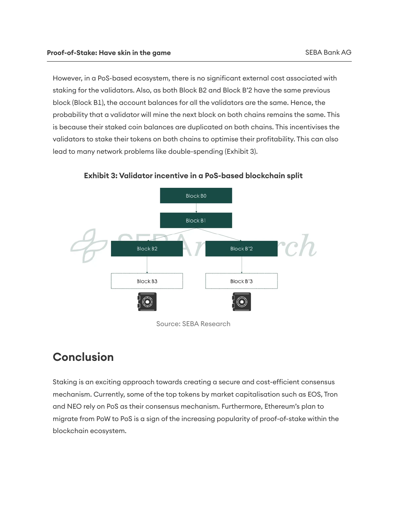However, in a PoS-based ecosystem, there is no significant external cost associated with staking for the validators. Also, as both Block B2 and Block B'2 have the same previous block (Block B1), the account balances for all the validators are the same. Hence, the probability that a validator will mine the next block on both chains remains the same. This is because their staked coin balances are duplicated on both chains. This incentivises the validators to stake their tokens on both chains to optimise their profitability. This can also lead to many network problems like double-spending (Exhibit 3).

**Block BO Block B1** Block B'2 Block B<sub>2</sub> Block B3 Block B'3

Exhibit 3: Validator incentive in a PoS-based blockchain split

#### **Conclusion**

Staking is an exciting approach towards creating a secure and cost-efficient consensus mechanism. Currently, some of the top tokens by market capitalisation such as EOS, Tron and NEO rely on PoS as their consensus mechanism. Furthermore, Ethereum's plan to migrate from PoW to PoS is a sign of the increasing popularity of proof-of-stake within the blockchain ecosystem.

Source: SEBA Research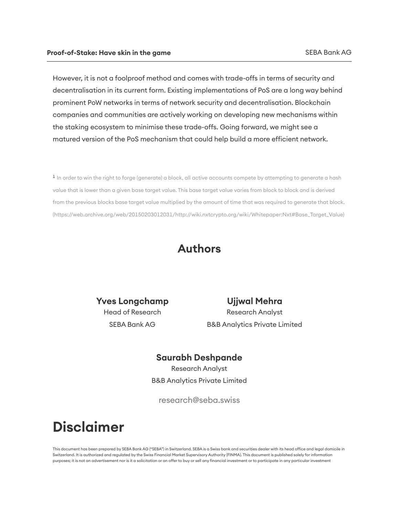However, it is not a foolproof method and comes with trade-offs in terms of security and decentralisation in its current form. Existing implementations of PoS are a long way behind prominent PoW networks in terms of network security and decentralisation. Blockchain companies and communities are actively working on developing new mechanisms within the staking ecosystem to minimise these trade-offs. Going forward, we might see a matured version of the PoS mechanism that could help build a more efficient network.

 $^1$  In order to win the right to forge (generate) a block, all active accounts compete by attempting to generate a hash value that is lower than a given base target value. This base target value varies from block to block and is derived from the previous blocks base target value multiplied by the amount of time that was required to generate that block. (https://web.archive.org/web/20150203012031/http://wiki.nxtcrypto.org/wiki/Whitepaper:Nxt#Base\_Target\_Value)

#### Authors

Yves Longchamp Head of Research SEBA Bank AG

Ujjwal Mehra Research Analyst B&B Analytics Private Limited

#### Saurabh Deshpande

Research Analyst B&B Analytics Private Limited

research@seba.swiss

## Disclaimer

This document has been prepared by SEBA Bank AG ("SEBA") in Switzerland. SEBA is a Swiss bank and securities dealer with its head office and legal domicile in Switzerland. It is authorized and regulated by the Swiss Financial Market Supervisory Authority (FINMA). This document is published solely for information purposes; it is not an advertisement nor is it a solicitation or an offer to buy or sell any financial investment or to participate in any particular investment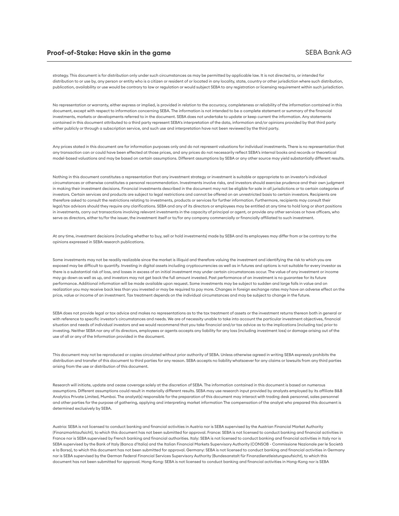strategy. This document is for distribution only under such circumstances as may be permitted by applicable law. It is not directed to, or intended for distribution to or use by, any person or entity who is a citizen or resident of or located in any locality, state, country or other jurisdiction where such distribution, publication, availability or use would be contrary to law or regulation or would subject SEBA to any registration or licensing requirement within such jurisdiction.

No representation or warranty, either express or implied, is provided in relation to the accuracy, completeness or reliability of the information contained in this document, except with respect to information concerning SEBA. The information is not intended to be a complete statement or summary of the financial investments, markets or developments referred to in the document. SEBA does not undertake to update or keep current the information. Any statements contained in this document aributed to a third party represent SEBA's interpretation of the data, information and/or opinions provided by that third party either publicly or through a subscription service, and such use and interpretation have not been reviewed by the third party.

Any prices stated in this document are for information purposes only and do not represent valuations for individual investments. There is no representation that any transaction can or could have been effected at those prices, and any prices do not necessarily reflect SEBA's internal books and records or theoretical model-based valuations and may be based on certain assumptions. Different assumptions by SEBA or any other source may yield substantially different results.

Nothing in this document constitutes a representation that any investment strategy or investment is suitable or appropriate to an investor's individual circumstances or otherwise constitutes a personal recommendation. Investments involve risks, and investors should exercise prudence and their own judgment in making their investment decisions. Financial investments described in the document may not be eligible for sale in all jurisdictions or to certain categories of investors. Certain services and products are subject to legal restrictions and cannot be offered on an unrestricted basis to certain investors. Recipients are therefore asked to consult the restrictions relating to investments, products or services for further information. Furthermore, recipients may consult their legal/tax advisors should they require any clarifications. SEBA and any of its directors or employees may be entitled at any time to hold long or short positions in investments, carry out transactions involving relevant investments in the capacity of principal or agent, or provide any other services or have officers, who serve as directors, either to/for the issuer, the investment itself or to/for any company commercially or financially affiliated to such investment.

At any time, investment decisions (including whether to buy, sell or hold investments) made by SEBA and its employees may differ from or be contrary to the opinions expressed in SEBA research publications.

Some investments may not be readily realizable since the market is illiquid and therefore valuing the investment and identifying the risk to which you are exposed may be difficult to quantify. Investing in digital assets including cryptocurrencies as well as in futures and options is not suitable for every investor as there is a substantial risk of loss, and losses in excess of an initial investment may under certain circumstances occur. The value of any investment or income may go down as well as up, and investors may not get back the full amount invested. Past performance of an investment is no guarantee for its future performance. Additional information will be made available upon request. Some investments may be subject to sudden and large falls in value and on realization you may receive back less than you invested or may be required to pay more. Changes in foreign exchange rates may have an adverse effect on the price, value or income of an investment. Tax treatment depends on the individual circumstances and may be subject to change in the future.

SEBA does not provide legal or tax advice and makes no representations as to the tax treatment of assets or the investment returns thereon both in general or with reference to specific investor's circumstances and needs. We are of necessity unable to take into account the particular investment objectives, financial situation and needs of individual investors and we would recommend that you take financial and/or tax advice as to the implications (including tax) prior to investing. Neither SEBA nor any of its directors, employees or agents accepts any liability for any loss (including investment loss) or damage arising out of the use of all or any of the Information provided in the document.

This document may not be reproduced or copies circulated without prior authority of SEBA. Unless otherwise agreed in writing SEBA expressly prohibits the distribution and transfer of this document to third parties for any reason. SEBA accepts no liability whatsoever for any claims or lawsuits from any third parties arising from the use or distribution of this document.

Research will initiate, update and cease coverage solely at the discretion of SEBA. The information contained in this document is based on numerous assumptions. Different assumptions could result in materially different results. SEBA may use research input provided by analysts employed by its affiliate B&B Analytics Private Limited, Mumbai. The analyst(s) responsible for the preparation of this document may interact with trading desk personnel, sales personnel and other parties for the purpose of gathering, applying and interpreting market information The compensation of the analyst who prepared this document is determined exclusively by SEBA.

Austria: SEBA is not licensed to conduct banking and financial activities in Austria nor is SEBA supervised by the Austrian Financial Market Authority (Finanzmarktaufsicht), to which this document has not been submitted for approval. France: SEBA is not licensed to conduct banking and financial activities in France nor is SEBA supervised by French banking and financial authorities. Italy: SEBA is not licensed to conduct banking and financial activities in Italy nor is SEBA supervised by the Bank of Italy (Banca d'Italia) and the Italian Financial Markets Supervisory Authority (CONSOB - Commissione Nazionale per le Società e la Borsa), to which this document has not been submitted for approval. Germany: SEBA is not licensed to conduct banking and financial activities in Germany nor is SEBA supervised by the German Federal Financial Services Supervisory Authority (Bundesanstalt für Finanzdienstleistungsaufsicht), to which this document has not been submitted for approval. Hong-Kong: SEBA is not licensed to conduct banking and financial activities in Hong-Kong nor is SEBA